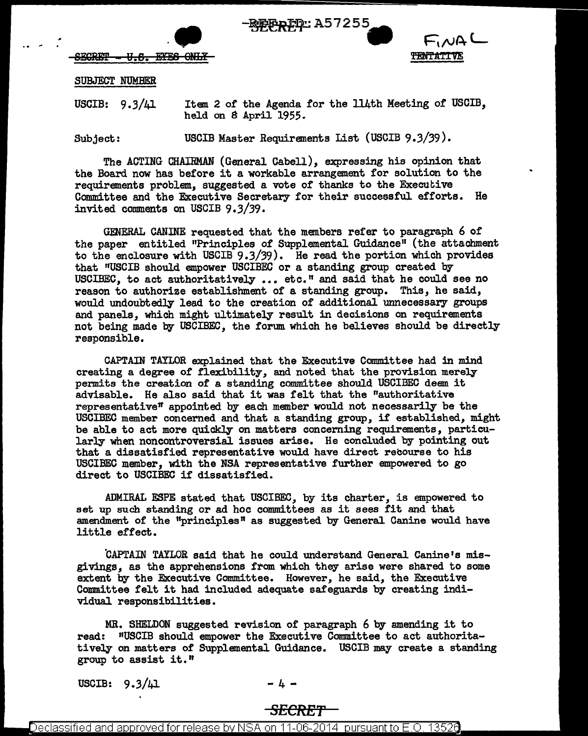



 $-$ BEGRET - U.S. EYES ONLY

## SUBJECT NUMBER

.. <sup>~</sup>

USCIB: 9.3/41 Item 2 of the Agenda for the 114th Meeting of USCIB, held on S April 1955.

Subject: USCIB Master Requirements List (USCIB 9.3/39).

The ACTING CHAIRMAN (General Cabell), expressing his opinion that the Board now has before it a workable arrangement for solution to the requirements problem, suggested a vote of thanks to the Executive Committee and the Executive Secretary for their successful efforts. He invited comments on USCIB 9.3/39.

GENERAL CANINE requested that the members refer to paragraph 6 of the paper entitled "Principles of Supplemental Guidance" (the attachment to the enclosure with USCIB  $9.3/39$ ). He read the portion which provides that "USCIB should empower USCIBEC or a standing group created by USCIBEC, to act authoritatively  $\ldots$  etc." and said that he could see no reason to authorize establishment of a standing group. This, he said, would undoubtedly lead to the creation of additional unnecessary groups and panels, which might ultimately result in decisions on requirements not being made by USCIBEC, the forum which he believes should be directly responsible.

CAPTAIN TAYLOR explained that the Executive Committee had in mind creating a degree of flexibility, and noted that the provision merely permits the creation of a standing committee should USCIBEC deem it advisable. He also said that it was felt that the "authoritative representative<sup>n</sup> appointed by each member would not necessarily be the USCIBEC member concerned and that a standing group, if established, might be able to act more quickly on matters concerning requirements, particularly when noncontroversial issues arise. He concluded by pointing out that a dissatisfied representative would have direct recourse to his USCIBEC member, with the NSA representative further empowered to go direct to USCIBEC if dissatisfied.

ADMIRAL ESPE stated that USCIBEC, by its charter, is empowered to set up such standing or ad hoc committees as it sees fit and that amendment of the "principles" as suggested by General Canine would have little effect.

CAPTAIN TAYLOR said that he could understand General Canine's misgivings, as the apprehensions from which they arise were shared to some extent by the Executive Committee. However, he said, the Executive Committee felt it had included adequate safeguards by creating individual responsibilities.

MR. SHELDON suggested revision of paragraph 6 by amending it to read: "USCIB should empower the Executive Committee to act authoritati vely on matters of Supplemental Guidance. USCIB may create a standing group to assist it.<sup>*</sup>* 

USCIB:  $9.3/\mu$ 1 - 4 -

## *SECRET*

Declassified and approved for release by NSA on 11-06-2014  $\,$  pursuant to E.O. 13526  $\,$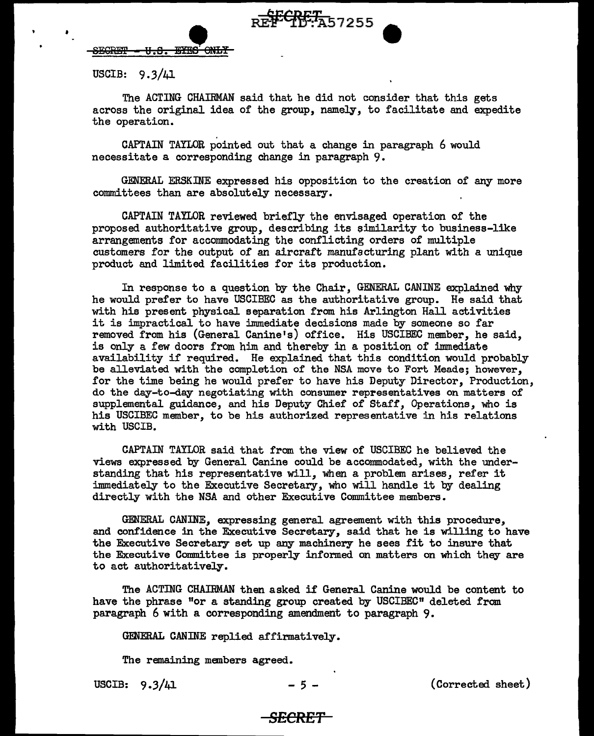

 $-$ <del>EYES ONLY</del>

USCIB:  $9.3/41$ 

The ACTING CHAIRMAN said that he did not consider that this gets across the original idea of the group, namely, to facilitate and expedite the operation.

CAPTAIN TAYLOR pointed out that a change in paragraph 6 would necessitate a corresponding change in paragraph 9.

GENERAL ERSKINE expressed his opposition to the creation of any more committees than are absolutely necessary.

CAPTAIN TAILOR reviewed briefly the envisaged operation of the proposed authoritative group, describing its eimilarity to business-like arrangements for accommodating the conflicting orders of multiple customers for the output of an aircraft manufacturing plant with a unique product and limited facilities for its production.

In response to a question by the Chair, GENERAL CANINE explained why he would prefer to have USCIBEC as the authoritative group. He said that with his present physical separation from his Arlington Hall activities it is impractical to have immediate decisions made by someone so far removed from his (General Canine's) office. His USCIBEC member, he said, is only a few doors from him and thereby in a position of immediate availability if required. He explained that this condition would probably be alleviated with the completion of the NSA move to Fort Meade; however, for the time being he would prefer to have his Deputy Pirector, Production, do the day-to-day negotiating with consumer representatives on matters of supplemental guidance, and his Deputy Chief of Staff, Operations, who is his USCIBEC member, to be his authorized representative in his relations with USCIB.

CAPTAIN TAYLOR said that from the view of USCIBEC he believed the views expressed by General Canine could be accommodated, with the understanding that his representative will, when a problem arises, refer it immediately to the Executive Secretary, who will handle it by dealing directly with the NSA and other Executive Committee members.

GENERAL CANINE, expressing general agreement with this procedure, and confidence in the Executive Secretary, said that he is willing to have the Executive Secretary set up any machinery he sees fit to insure that the Executive Committee is properly informed on matters on which they are to act authoritatively.

The ACTING CHAIRMAN then asked if General Canine would be content to have the phrase "or a standing group created by USCIBEC" deleted from paragraph 6 with a corresponding amendment to paragraph 9.

GENERAL CANINE replied affirmatively.

The remaining members agreed.

USCIB:  $9.3/41$  - 5 - (Corrected sheet)

## **SECRET**